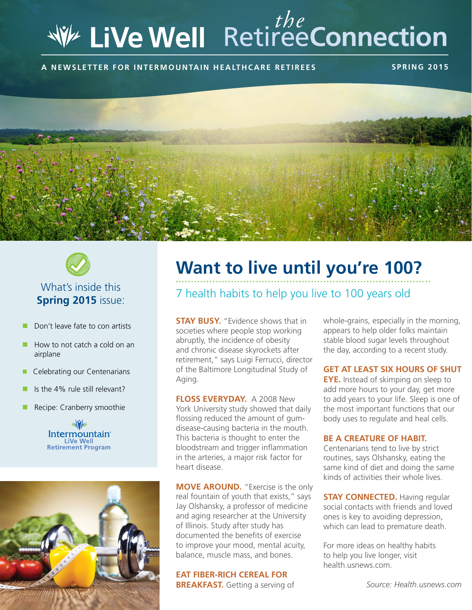# Retiree**Connection** *the*

**A news letter for intermountain healthcare retiree s s pring 2015**





## What's inside this **Spring 2015** issue:

- Don't leave fate to con artists
- $\blacksquare$  How to not catch a cold on an airplane
- Celebrating our Centenarians
- Is the 4% rule still relevant?
- Recipe: Cranberry smoothie





## **Want to live until you're 100?**

## 7 health habits to help you live to 100 years old

**STAY BUSY.** "Evidence shows that in societies where people stop working abruptly, the incidence of obesity and chronic disease skyrockets after retirement," says Luigi Ferrucci, director of the Baltimore Longitudinal Study of Aging.

**Floss everyday.** A 2008 New York University study showed that daily flossing reduced the amount of gumdisease-causing bacteria in the mouth. This bacteria is thought to enter the bloodstream and trigger inflammation in the arteries, a major risk factor for heart disease.

**MOVE AROUND.** "Exercise is the only real fountain of youth that exists," says Jay Olshansky, a professor of medicine and aging researcher at the University of Illinois. Study after study has documented the benefits of exercise to improve your mood, mental acuity, balance, muscle mass, and bones.

#### **Eat fiber-rich cereal for**

**BREAKFAST.** Getting a serving of

whole-grains, especially in the morning, appears to help older folks maintain stable blood sugar levels throughout the day, according to a recent study.

#### **Get at least six hours of shut**

**EYE.** Instead of skimping on sleep to add more hours to your day, get more to add years to your life. Sleep is one of the most important functions that our body uses to regulate and heal cells.

#### **Be a creature of habit.**

Centenarians tend to live by strict routines, says Olshansky, eating the same kind of diet and doing the same kinds of activities their whole lives.

**STAY CONNECTED.** Having regular social contacts with friends and loved ones is key to avoiding depression, which can lead to premature death.

For more ideas on healthy habits to help you live longer, visit health.usnews.com.

*Source: Health.usnews.com*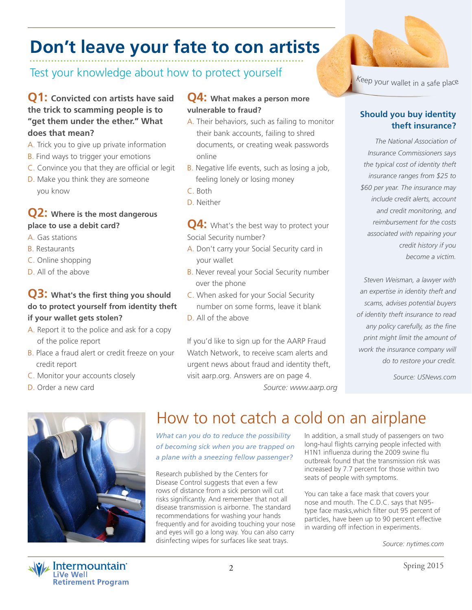## **Don't leave your fate to con artists**

Test your knowledge about how to protect yourself

## **Q1: Convicted con artists have said the trick to scamming people is to "get them under the ether." What does that mean?**

- A. Trick you to give up private information
- B. Find ways to trigger your emotions
- C. Convince you that they are official or legit
- D. Make you think they are someone you know

## **Q2: Where is the most dangerous place to use a debit card?**

- A. Gas stations
- B. Restaurants
- C. Online shopping
- D. All of the above

## **Q3: What's the first thing you should do to protect yourself from identity theft if your wallet gets stolen?**

- A. Report it to the police and ask for a copy of the police report
- B. Place a fraud alert or credit freeze on your credit report
- C. Monitor your accounts closely
- D. Order a new card

## **Q4: What makes a person more vulnerable to fraud?**

- A. Their behaviors, such as failing to monitor their bank accounts, failing to shred documents, or creating weak passwords online
- B. Negative life events, such as losing a job, feeling lonely or losing money
- C. Both
- D. Neither

**Q4:** What's the best way to protect your Social Security number?

- A. Don't carry your Social Security card in your wallet
- B. Never reveal your Social Security number over the phone
- C. When asked for your Social Security number on some forms, leave it blank
- D. All of the above

If you'd like to sign up for the AARP Fraud Watch Network, to receive scam alerts and urgent news about fraud and identity theft, visit aarp.org. Answers are on page 4.

<sup>K</sup>ee<sup>p</sup> <sup>y</sup>ou<sup>r</sup> <sup>w</sup>alle<sup>t</sup> <sup>i</sup><sup>n</sup> <sup>a</sup> <sup>s</sup>af<sup>e</sup> <sup>p</sup>lac<sup>e</sup>

## **Should you buy identity theft insurance?**

*The National Association of Insurance Commissioners says the typical cost of identity theft insurance ranges from \$25 to \$60 per year. The insurance may include credit alerts, account and credit monitoring, and reimbursement for the costs associated with repairing your credit history if you become a victim.*

*Steven Weisman, a lawyer with an expertise in identity theft and scams, advises potential buyers of identity theft insurance to read any policy carefully, as the fine print might limit the amount of work the insurance company will do to restore your credit.* 

*Source: USNews.com*

## How to not catch a cold on an airplane

*Source: www.aarp.org*

*What can you do to reduce the possibility of becoming sick when you are trapped on a plane with a sneezing fellow passenger?*

Research published by the Centers for Disease Control suggests that even a few rows of distance from a sick person will cut risks significantly. And remember that not all disease transmission is airborne. The standard recommendations for washing your hands frequently and for avoiding touching your nose and eyes will go a long way. You can also carry disinfecting wipes for surfaces like seat trays.

In addition, a small study of passengers on two long-haul flights carrying people infected with H1N1 influenza during the 2009 swine flu outbreak found that the transmission risk was increased by 7.7 percent for those within two seats of people with symptoms.

You can take a face mask that covers your nose and mouth. The C.D.C. says that N95 type face masks,which filter out 95 percent of particles, have been up to 90 percent effective in warding off infection in experiments.

*Source: nytimes.com*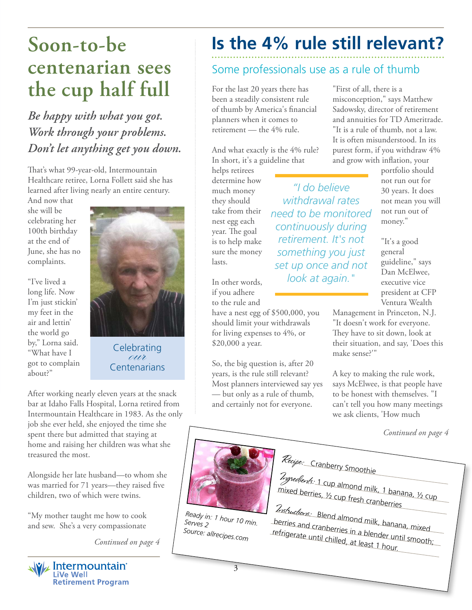## **centenarian sees the cup half full**

*Be happy with what you got. Work through your problems. Don't let anything get you down.*

That's what 99-year-old, Intermountain Healthcare retiree, Lorna Follett said she has learned after living nearly an entire century.

And now that she will be celebrating her 100th birthday at the end of June, she has no complaints.

"I've lived a long life. Now I'm just stickin' my feet in the air and lettin' the world go by," Lorna said. "What have I got to complain about?"



Celebrating<br>
eur Centenarians

After working nearly eleven years at the snack bar at Idaho Falls Hospital, Lorna retired from Intermountain Healthcare in 1983. As the only job she ever held, she enjoyed the time she spent there but admitted that staying at home and raising her children was what she treasured the most.

Alongside her late husband—to whom she was married for 71 years—they raised five children, two of which were twins.

"My mother taught me how to cook and sew. She's a very compassionate

*Continued on page 4*



## **Soon-to-be Is the 4% rule still relevant?**

## Some professionals use as a rule of thumb

*"I do believe withdrawal rates need to be monitored continuously during retirement. It's not something you just set up once and not look at again."*

For the last 20 years there has been a steadily consistent rule of thumb by America's financial planners when it comes to retirement — the 4% rule.

And what exactly is the 4% rule? In short, it's a guideline that

helps retirees determine how much money they should take from their nest egg each year. The goal is to help make sure the money lasts.

In other words, if you adhere to the rule and

have a nest egg of \$500,000, you should limit your withdrawals for living expenses to 4%, or \$20,000 a year.

So, the big question is, after 20 years, is the rule still relevant? Most planners interviewed say yes — but only as a rule of thumb, and certainly not for everyone.

"First of all, there is a misconception," says Matthew Sadowsky, director of retirement and annuities for TD Ameritrade. "It is a rule of thumb, not a law. It is often misunderstood. In its purest form, if you withdraw 4% and grow with inflation, your

portfolio should not run out for 30 years. It does not mean you will not run out of money."

"It's a good general guideline," says Dan McElwee, executive vice president at CFP Ventura Wealth

Management in Princeton, N.J. "It doesn't work for everyone. They have to sit down, look at their situation, and say, 'Does this make sense?'"

A key to making the rule work, says McElwee, is that people have to be honest with themselves. "I can't tell you how many meetings we ask clients, 'How much

*Continued on page 4*



*Ready in: 1 hour 10 min. Serves 2 Source: allrecipes.com*

mixed berries, ½ cup fresh cranberries Instructions: Blend almond milk, banana, mixed berries and cranberries in a blender until smooth; refrigerate until chilled, at least 1 hour.

Ingredients: 1 cup almond milk, 1 banana, ½ cup

Recipe: Cranberry Smoothie

3